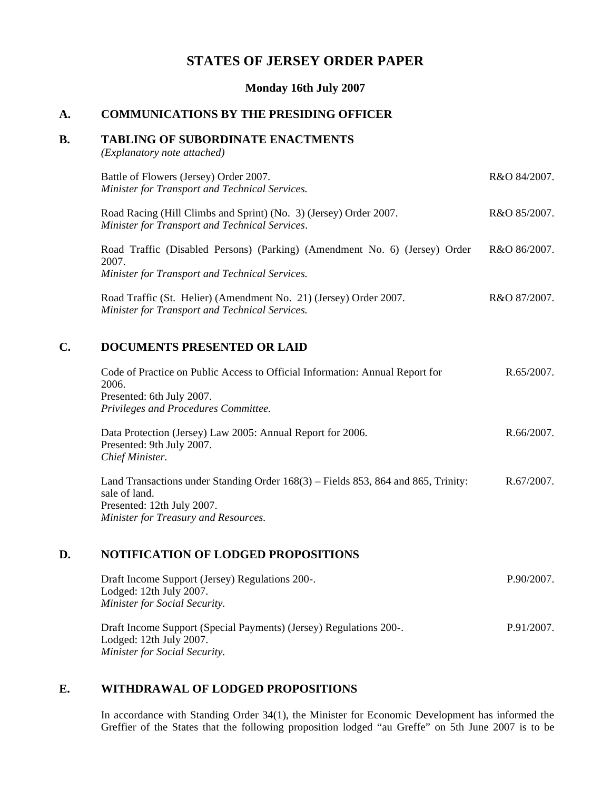# **STATES OF JERSEY ORDER PAPER**

**Monday 16th July 2007**

## **A. COMMUNICATIONS BY THE PRESIDING OFFICER**

#### **B. TABLING OF SUBORDINATE ENACTMENTS**

*(Explanatory note attached)*

| C. | <b>DOCUMENTS PRESENTED OR LAID</b>                                                                                                    |              |
|----|---------------------------------------------------------------------------------------------------------------------------------------|--------------|
|    | Road Traffic (St. Helier) (Amendment No. 21) (Jersey) Order 2007.<br>Minister for Transport and Technical Services.                   | R&O 87/2007. |
|    | Road Traffic (Disabled Persons) (Parking) (Amendment No. 6) (Jersey) Order<br>2007.<br>Minister for Transport and Technical Services. | R&O 86/2007. |
|    | Road Racing (Hill Climbs and Sprint) (No. 3) (Jersey) Order 2007.<br>Minister for Transport and Technical Services.                   | R&O 85/2007. |
|    | Battle of Flowers (Jersey) Order 2007.<br>Minister for Transport and Technical Services.                                              | R&O 84/2007. |

| Code of Practice on Public Access to Official Information: Annual Report for | R.65/2007. |
|------------------------------------------------------------------------------|------------|
| 2006.                                                                        |            |
| Presented: 6th July 2007.                                                    |            |
| Privileges and Procedures Committee.                                         |            |
|                                                                              |            |

Data Protection (Jersey) Law 2005: Annual Report for 2006. Presented: 9th July 2007. *Chief Minister.* R.66/2007.

Land Transactions under Standing Order 168(3) – Fields 853, 864 and 865, Trinity: sale of land. Presented: 12th July 2007. *Minister for Treasury and Resources.* R.67/2007.

# **D. NOTIFICATION OF LODGED PROPOSITIONS**

| Draft Income Support (Jersey) Regulations 200-.<br>Lodged: 12th July 2007.<br><b>Minister for Social Security.</b>                          | P.90/2007. |
|---------------------------------------------------------------------------------------------------------------------------------------------|------------|
| Draft Income Support (Special Payments) (Jersey) Regulations 200-.<br>Lodged: $12$ th July $2007$ .<br><b>Minister for Social Security.</b> | P.91/2007. |

# **E. WITHDRAWAL OF LODGED PROPOSITIONS**

In accordance with Standing Order 34(1), the Minister for Economic Development has informed the Greffier of the States that the following proposition lodged "au Greffe" on 5th June 2007 is to be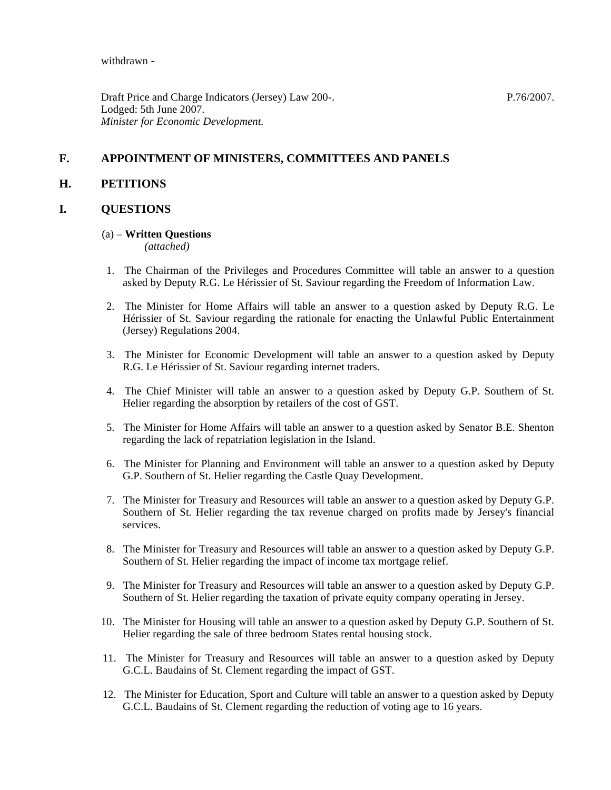withdrawn -

Draft Price and Charge Indicators (Jersey) Law 200-. Lodged: 5th June 2007. *Minister for Economic Development.*

P.76/2007.

# **F. APPOINTMENT OF MINISTERS, COMMITTEES AND PANELS**

## **H. PETITIONS**

# **I. QUESTIONS**

#### (a) – **Written Questions**

*(attached)*

- 1. The Chairman of the Privileges and Procedures Committee will table an answer to a question asked by Deputy R.G. Le Hérissier of St. Saviour regarding the Freedom of Information Law.
- 2. The Minister for Home Affairs will table an answer to a question asked by Deputy R.G. Le Hérissier of St. Saviour regarding the rationale for enacting the Unlawful Public Entertainment (Jersey) Regulations 2004.
- 3. The Minister for Economic Development will table an answer to a question asked by Deputy R.G. Le Hérissier of St. Saviour regarding internet traders.
- 4. The Chief Minister will table an answer to a question asked by Deputy G.P. Southern of St. Helier regarding the absorption by retailers of the cost of GST.
- 5. The Minister for Home Affairs will table an answer to a question asked by Senator B.E. Shenton regarding the lack of repatriation legislation in the Island.
- 6. The Minister for Planning and Environment will table an answer to a question asked by Deputy G.P. Southern of St. Helier regarding the Castle Quay Development.
- 7. The Minister for Treasury and Resources will table an answer to a question asked by Deputy G.P. Southern of St. Helier regarding the tax revenue charged on profits made by Jersey's financial services.
- 8. The Minister for Treasury and Resources will table an answer to a question asked by Deputy G.P. Southern of St. Helier regarding the impact of income tax mortgage relief.
- 9. The Minister for Treasury and Resources will table an answer to a question asked by Deputy G.P. Southern of St. Helier regarding the taxation of private equity company operating in Jersey.
- 10. The Minister for Housing will table an answer to a question asked by Deputy G.P. Southern of St. Helier regarding the sale of three bedroom States rental housing stock.
- 11. The Minister for Treasury and Resources will table an answer to a question asked by Deputy G.C.L. Baudains of St. Clement regarding the impact of GST.
- 12. The Minister for Education, Sport and Culture will table an answer to a question asked by Deputy G.C.L. Baudains of St. Clement regarding the reduction of voting age to 16 years.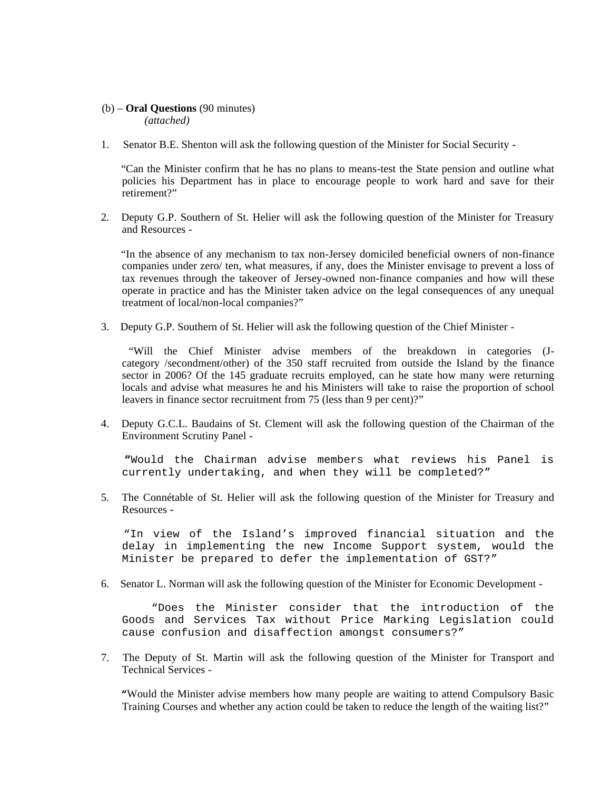#### (b) – **Oral Questions** (90 minutes) *(attached)*

1. Senator B.E. Shenton will ask the following question of the Minister for Social Security -

 "Can the Minister confirm that he has no plans to means-test the State pension and outline what policies his Department has in place to encourage people to work hard and save for their retirement?"

2. Deputy G.P. Southern of St. Helier will ask the following question of the Minister for Treasury and Resources -

 "In the absence of any mechanism to tax non-Jersey domiciled beneficial owners of non-finance companies under zero/ ten, what measures, if any, does the Minister envisage to prevent a loss of tax revenues through the takeover of Jersey-owned non-finance companies and how will these operate in practice and has the Minister taken advice on the legal consequences of any unequal treatment of local/non-local companies?"

3. Deputy G.P. Southern of St. Helier will ask the following question of the Chief Minister -

 "Will the Chief Minister advise members of the breakdown in categories (Jcategory /secondment/other) of the 350 staff recruited from outside the Island by the finance sector in 2006? Of the 145 graduate recruits employed, can he state how many were returning locals and advise what measures he and his Ministers will take to raise the proportion of school leavers in finance sector recruitment from 75 (less than 9 per cent)?"

4. Deputy G.C.L. Baudains of St. Clement will ask the following question of the Chairman of the Environment Scrutiny Panel -

 **"**Would the Chairman advise members what reviews his Panel is currently undertaking, and when they will be completed?"

5. The Connétable of St. Helier will ask the following question of the Minister for Treasury and Resources -

 "In view of the Island's improved financial situation and the delay in implementing the new Income Support system, would the Minister be prepared to defer the implementation of GST?"

6. Senator L. Norman will ask the following question of the Minister for Economic Development -

 "Does the Minister consider that the introduction of the Goods and Services Tax without Price Marking Legislation could cause confusion and disaffection amongst consumers?"

7. The Deputy of St. Martin will ask the following question of the Minister for Transport and Technical Services -

 **"**Would the Minister advise members how many people are waiting to attend Compulsory Basic Training Courses and whether any action could be taken to reduce the length of the waiting list?"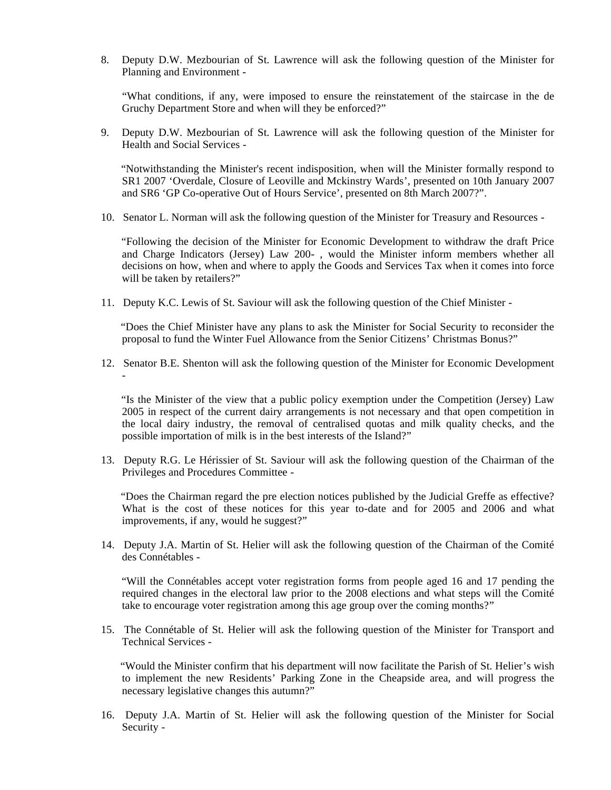8. Deputy D.W. Mezbourian of St. Lawrence will ask the following question of the Minister for Planning and Environment -

 "What conditions, if any, were imposed to ensure the reinstatement of the staircase in the de Gruchy Department Store and when will they be enforced?"

9. Deputy D.W. Mezbourian of St. Lawrence will ask the following question of the Minister for Health and Social Services -

 "Notwithstanding the Minister's recent indisposition, when will the Minister formally respond to SR1 2007 'Overdale, Closure of Leoville and Mckinstry Wards', presented on 10th January 2007 and SR6 'GP Co-operative Out of Hours Service', presented on 8th March 2007?".

10. Senator L. Norman will ask the following question of the Minister for Treasury and Resources -

 "Following the decision of the Minister for Economic Development to withdraw the draft Price and Charge Indicators (Jersey) Law 200- , would the Minister inform members whether all decisions on how, when and where to apply the Goods and Services Tax when it comes into force will be taken by retailers?"

11. Deputy K.C. Lewis of St. Saviour will ask the following question of the Chief Minister -

 "Does the Chief Minister have any plans to ask the Minister for Social Security to reconsider the proposal to fund the Winter Fuel Allowance from the Senior Citizens' Christmas Bonus?"

12. Senator B.E. Shenton will ask the following question of the Minister for Economic Development -

 "Is the Minister of the view that a public policy exemption under the Competition (Jersey) Law 2005 in respect of the current dairy arrangements is not necessary and that open competition in the local dairy industry, the removal of centralised quotas and milk quality checks, and the possible importation of milk is in the best interests of the Island?"

13. Deputy R.G. Le Hérissier of St. Saviour will ask the following question of the Chairman of the Privileges and Procedures Committee -

 "Does the Chairman regard the pre election notices published by the Judicial Greffe as effective? What is the cost of these notices for this year to-date and for 2005 and 2006 and what improvements, if any, would he suggest?"

14. Deputy J.A. Martin of St. Helier will ask the following question of the Chairman of the Comité des Connétables -

 "Will the Connétables accept voter registration forms from people aged 16 and 17 pending the required changes in the electoral law prior to the 2008 elections and what steps will the Comité take to encourage voter registration among this age group over the coming months?"

15. The Connétable of St. Helier will ask the following question of the Minister for Transport and Technical Services -

 "Would the Minister confirm that his department will now facilitate the Parish of St. Helier's wish to implement the new Residents' Parking Zone in the Cheapside area, and will progress the necessary legislative changes this autumn?"

16. Deputy J.A. Martin of St. Helier will ask the following question of the Minister for Social Security -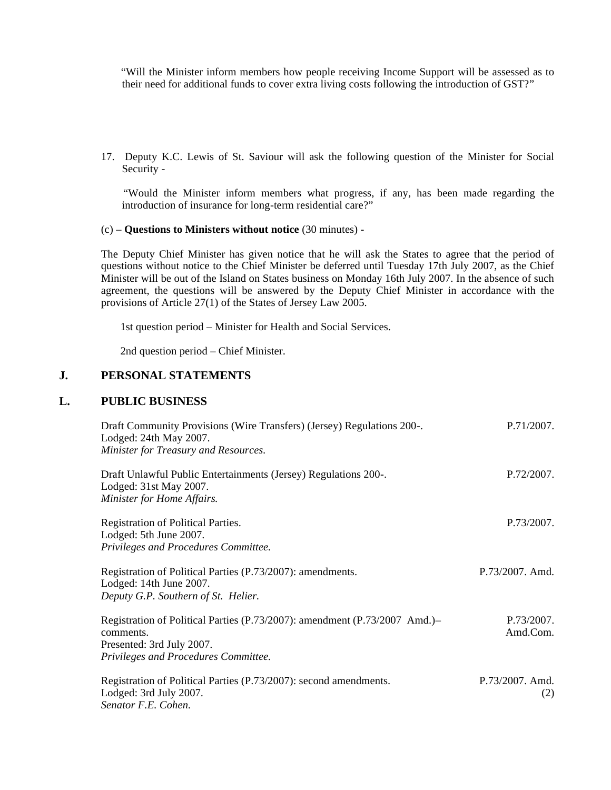"Will the Minister inform members how people receiving Income Support will be assessed as to their need for additional funds to cover extra living costs following the introduction of GST?"

17. Deputy K.C. Lewis of St. Saviour will ask the following question of the Minister for Social Security -

 "Would the Minister inform members what progress, if any, has been made regarding the introduction of insurance for long-term residential care?"

#### (c) – **Questions to Ministers without notice** (30 minutes) -

The Deputy Chief Minister has given notice that he will ask the States to agree that the period of questions without notice to the Chief Minister be deferred until Tuesday 17th July 2007, as the Chief Minister will be out of the Island on States business on Monday 16th July 2007. In the absence of such agreement, the questions will be answered by the Deputy Chief Minister in accordance with the provisions of Article 27(1) of the States of Jersey Law 2005.

1st question period – Minister for Health and Social Services.

2nd question period – Chief Minister.

# **J. PERSONAL STATEMENTS**

#### **L. PUBLIC BUSINESS**

| Draft Community Provisions (Wire Transfers) (Jersey) Regulations 200-.<br>Lodged: 24th May 2007.<br>Minister for Treasury and Resources.                     | P.71/2007.             |
|--------------------------------------------------------------------------------------------------------------------------------------------------------------|------------------------|
| Draft Unlawful Public Entertainments (Jersey) Regulations 200-.<br>Lodged: 31st May 2007.<br>Minister for Home Affairs.                                      | P.72/2007.             |
| Registration of Political Parties.<br>Lodged: 5th June 2007.<br>Privileges and Procedures Committee.                                                         | P.73/2007.             |
| Registration of Political Parties (P.73/2007): amendments.<br>Lodged: 14th June 2007.<br>Deputy G.P. Southern of St. Helier.                                 | P.73/2007. Amd.        |
| Registration of Political Parties (P.73/2007): amendment (P.73/2007 Amd.)–<br>comments.<br>Presented: 3rd July 2007.<br>Privileges and Procedures Committee. | P.73/2007.<br>Amd.Com. |
| Registration of Political Parties (P.73/2007): second amendments.<br>Lodged: 3rd July 2007.<br>Senator F.E. Cohen.                                           | P.73/2007. Amd.<br>(2) |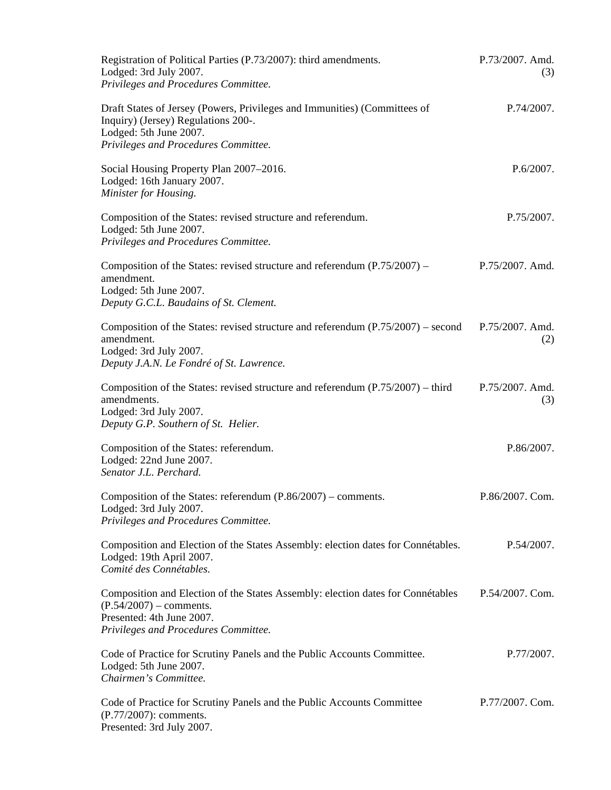| Registration of Political Parties (P.73/2007): third amendments.<br>Lodged: 3rd July 2007.<br>Privileges and Procedures Committee.                                                 | P.73/2007. Amd.<br>(3) |
|------------------------------------------------------------------------------------------------------------------------------------------------------------------------------------|------------------------|
| Draft States of Jersey (Powers, Privileges and Immunities) (Committees of<br>Inquiry) (Jersey) Regulations 200-.<br>Lodged: 5th June 2007.<br>Privileges and Procedures Committee. | P.74/2007.             |
| Social Housing Property Plan 2007-2016.<br>Lodged: 16th January 2007.<br>Minister for Housing.                                                                                     | P.6/2007.              |
| Composition of the States: revised structure and referendum.<br>Lodged: 5th June 2007.<br>Privileges and Procedures Committee.                                                     | P.75/2007.             |
| Composition of the States: revised structure and referendum $(P.75/2007)$ –<br>amendment.<br>Lodged: 5th June 2007.<br>Deputy G.C.L. Baudains of St. Clement.                      | P.75/2007. Amd.        |
| Composition of the States: revised structure and referendum (P.75/2007) – second<br>amendment.<br>Lodged: 3rd July 2007.<br>Deputy J.A.N. Le Fondré of St. Lawrence.               | P.75/2007. Amd.<br>(2) |
| Composition of the States: revised structure and referendum $(P.75/2007)$ – third<br>amendments.<br>Lodged: 3rd July 2007.<br>Deputy G.P. Southern of St. Helier.                  | P.75/2007. Amd.<br>(3) |
| Composition of the States: referendum.<br>Lodged: 22nd June 2007.<br>Senator J.L. Perchard.                                                                                        | P.86/2007.             |
| Composition of the States: referendum $(P.86/2007)$ – comments.<br>Lodged: 3rd July 2007.<br>Privileges and Procedures Committee.                                                  | P.86/2007. Com.        |
| Composition and Election of the States Assembly: election dates for Connétables.<br>Lodged: 19th April 2007.<br>Comité des Connétables.                                            | P.54/2007.             |
| Composition and Election of the States Assembly: election dates for Connétables<br>$(P.54/2007)$ – comments.<br>Presented: 4th June 2007.<br>Privileges and Procedures Committee.  | P.54/2007. Com.        |
| Code of Practice for Scrutiny Panels and the Public Accounts Committee.<br>Lodged: 5th June 2007.<br>Chairmen's Committee.                                                         | P.77/2007.             |
| Code of Practice for Scrutiny Panels and the Public Accounts Committee<br>(P.77/2007): comments.<br>Presented: 3rd July 2007.                                                      | P.77/2007. Com.        |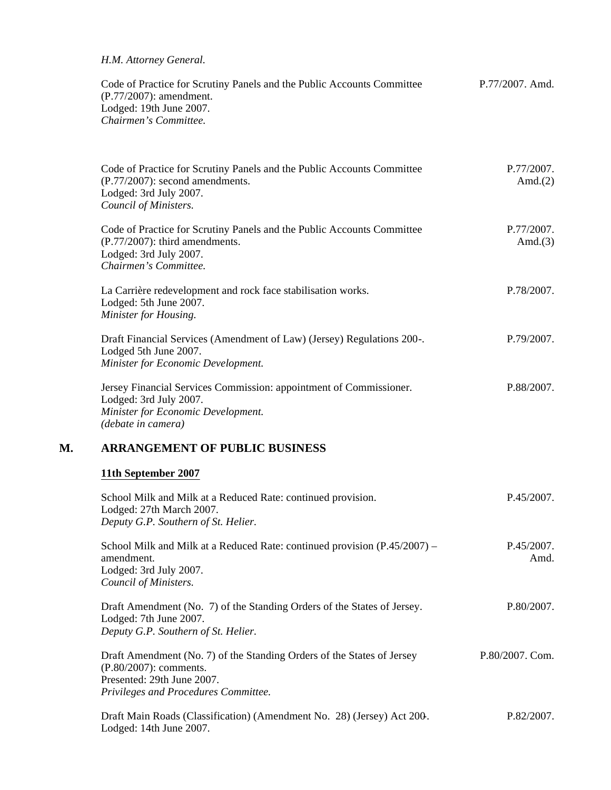#### *H.M. Attorney General.*

| Code of Practice for Scrutiny Panels and the Public Accounts Committee | P.77/2007. Amd. |
|------------------------------------------------------------------------|-----------------|
| (P.77/2007): amendment.                                                |                 |
| Lodged: 19th June 2007.                                                |                 |
| Chairmen's Committee.                                                  |                 |

|    | Code of Practice for Scrutiny Panels and the Public Accounts Committee<br>$(P.77/2007)$ : second amendments.<br>Lodged: 3rd July 2007.<br>Council of Ministers. | P.77/2007.<br>Amd. $(2)$ |  |
|----|-----------------------------------------------------------------------------------------------------------------------------------------------------------------|--------------------------|--|
|    | Code of Practice for Scrutiny Panels and the Public Accounts Committee<br>$(P.77/2007)$ : third amendments.<br>Lodged: 3rd July 2007.<br>Chairmen's Committee.  | P.77/2007.<br>Amd. $(3)$ |  |
|    | La Carrière redevelopment and rock face stabilisation works.<br>Lodged: 5th June 2007.<br>Minister for Housing.                                                 | P.78/2007.               |  |
|    | Draft Financial Services (Amendment of Law) (Jersey) Regulations 200-.<br>Lodged 5th June 2007.<br>Minister for Economic Development.                           | P.79/2007.               |  |
|    | Jersey Financial Services Commission: appointment of Commissioner.<br>Lodged: 3rd July 2007.<br>Minister for Economic Development.<br>(debate in camera)        | P.88/2007.               |  |
| М. | <b>ARRANGEMENT OF PUBLIC BUSINESS</b>                                                                                                                           |                          |  |
|    | 11th September 2007                                                                                                                                             |                          |  |
|    | School Milk and Milk at a Reduced Rate: continued provision.<br>Lodged: 27th March 2007.<br>Deputy G.P. Southern of St. Helier.                                 | P.45/2007.               |  |
|    | School Milk and Milk at a Reduced Rate: continued provision $(P.45/2007)$ –<br>amendment.<br>Lodged: 3rd July 2007.<br>Council of Ministers.                    | P.45/2007.<br>Amd.       |  |

Draft Amendment (No. 7) of the Standing Orders of the States of Jersey. Lodged: 7th June 2007. *Deputy G.P. Southern of St. Helier.* P.80/2007.

Draft Amendment (No. 7) of the Standing Orders of the States of Jersey (P.80/2007): comments. Presented: 29th June 2007. *Privileges and Procedures Committee.* P.80/2007. Com.

Draft Main Roads (Classification) (Amendment No. 28) (Jersey) Act 200-. Lodged: 14th June 2007. P.82/2007.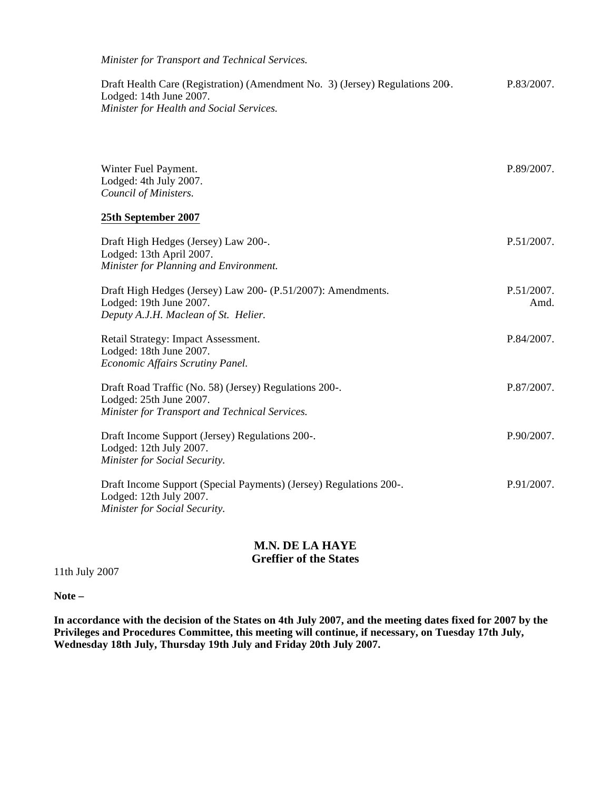*Minister for Transport and Technical Services.*

Draft Health Care (Registration) (Amendment No. 3) (Jersey) Regulations 200-. Lodged: 14th June 2007. *Minister for Health and Social Services.* P.83/2007.

| Winter Fuel Payment.<br>Lodged: 4th July 2007.<br>Council of Ministers.                                                             | P.89/2007.         |
|-------------------------------------------------------------------------------------------------------------------------------------|--------------------|
| 25th September 2007                                                                                                                 |                    |
| Draft High Hedges (Jersey) Law 200-.<br>Lodged: 13th April 2007.<br>Minister for Planning and Environment.                          | P.51/2007.         |
| Draft High Hedges (Jersey) Law 200- (P.51/2007): Amendments.<br>Lodged: 19th June 2007.<br>Deputy A.J.H. Maclean of St. Helier.     | P.51/2007.<br>Amd. |
| Retail Strategy: Impact Assessment.<br>Lodged: 18th June 2007.<br>Economic Affairs Scrutiny Panel.                                  | P.84/2007.         |
| Draft Road Traffic (No. 58) (Jersey) Regulations 200-.<br>Lodged: 25th June 2007.<br>Minister for Transport and Technical Services. | P.87/2007.         |
| Draft Income Support (Jersey) Regulations 200-.<br>Lodged: 12th July 2007.<br>Minister for Social Security.                         | P.90/2007.         |
| Draft Income Support (Special Payments) (Jersey) Regulations 200-.<br>Lodged: 12th July 2007.<br>Minister for Social Security.      | P.91/2007.         |

# **M.N. DE LA HAYE Greffier of the States**

11th July 2007

**Note –**

**In accordance with the decision of the States on 4th July 2007, and the meeting dates fixed for 2007 by the Privileges and Procedures Committee, this meeting will continue, if necessary, on Tuesday 17th July, Wednesday 18th July, Thursday 19th July and Friday 20th July 2007.**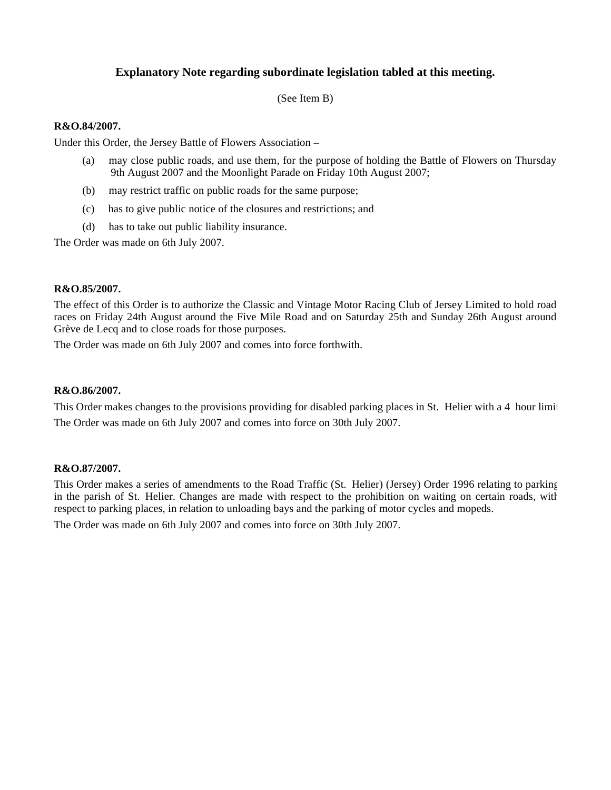# **Explanatory Note regarding subordinate legislation tabled at this meeting.**

(See Item B)

#### **R&O.84/2007.**

Under this Order, the Jersey Battle of Flowers Association –

- (a) may close public roads, and use them, for the purpose of holding the Battle of Flowers on Thursday 9th August 2007 and the Moonlight Parade on Friday 10th August 2007;
- (b) may restrict traffic on public roads for the same purpose;
- (c) has to give public notice of the closures and restrictions; and
- (d) has to take out public liability insurance.

The Order was made on 6th July 2007.

#### **R&O.85/2007.**

The effect of this Order is to authorize the Classic and Vintage Motor Racing Club of Jersey Limited to hold road races on Friday 24th August around the Five Mile Road and on Saturday 25th and Sunday 26th August around Grève de Lecq and to close roads for those purposes.

The Order was made on 6th July 2007 and comes into force forthwith.

#### **R&O.86/2007.**

This Order makes changes to the provisions providing for disabled parking places in St. Helier with a 4 hour limit. The Order was made on 6th July 2007 and comes into force on 30th July 2007.

#### **R&O.87/2007.**

This Order makes a series of amendments to the Road Traffic (St. Helier) (Jersey) Order 1996 relating to parking in the parish of St. Helier. Changes are made with respect to the prohibition on waiting on certain roads, with respect to parking places, in relation to unloading bays and the parking of motor cycles and mopeds.

The Order was made on 6th July 2007 and comes into force on 30th July 2007.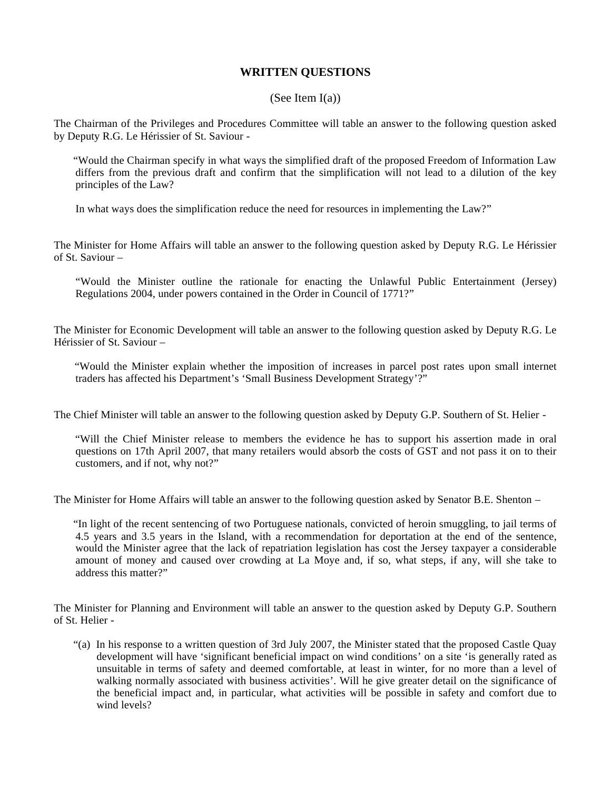# **WRITTEN QUESTIONS**

#### (See Item  $I(a)$ )

The Chairman of the Privileges and Procedures Committee will table an answer to the following question asked by Deputy R.G. Le Hérissier of St. Saviour -

 "Would the Chairman specify in what ways the simplified draft of the proposed Freedom of Information Law differs from the previous draft and confirm that the simplification will not lead to a dilution of the key principles of the Law?

In what ways does the simplification reduce the need for resources in implementing the Law?"

The Minister for Home Affairs will table an answer to the following question asked by Deputy R.G. Le Hérissier of St. Saviour –

"Would the Minister outline the rationale for enacting the Unlawful Public Entertainment (Jersey) Regulations 2004, under powers contained in the Order in Council of 1771?"

The Minister for Economic Development will table an answer to the following question asked by Deputy R.G. Le Hérissier of St. Saviour –

 "Would the Minister explain whether the imposition of increases in parcel post rates upon small internet traders has affected his Department's 'Small Business Development Strategy'?"

The Chief Minister will table an answer to the following question asked by Deputy G.P. Southern of St. Helier -

 "Will the Chief Minister release to members the evidence he has to support his assertion made in oral questions on 17th April 2007, that many retailers would absorb the costs of GST and not pass it on to their customers, and if not, why not?"

The Minister for Home Affairs will table an answer to the following question asked by Senator B.E. Shenton –

 "In light of the recent sentencing of two Portuguese nationals, convicted of heroin smuggling, to jail terms of 4.5 years and 3.5 years in the Island, with a recommendation for deportation at the end of the sentence, would the Minister agree that the lack of repatriation legislation has cost the Jersey taxpayer a considerable amount of money and caused over crowding at La Moye and, if so, what steps, if any, will she take to address this matter?"

The Minister for Planning and Environment will table an answer to the question asked by Deputy G.P. Southern of St. Helier -

 "(a) In his response to a written question of 3rd July 2007, the Minister stated that the proposed Castle Quay development will have 'significant beneficial impact on wind conditions' on a site 'is generally rated as unsuitable in terms of safety and deemed comfortable, at least in winter, for no more than a level of walking normally associated with business activities'. Will he give greater detail on the significance of the beneficial impact and, in particular, what activities will be possible in safety and comfort due to wind levels?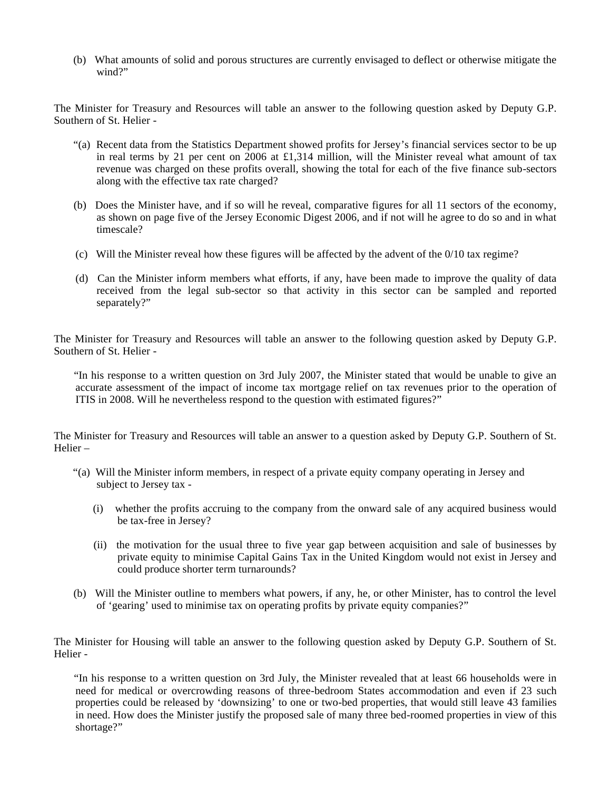(b) What amounts of solid and porous structures are currently envisaged to deflect or otherwise mitigate the wind?"

The Minister for Treasury and Resources will table an answer to the following question asked by Deputy G.P. Southern of St. Helier -

- "(a) Recent data from the Statistics Department showed profits for Jersey's financial services sector to be up in real terms by 21 per cent on 2006 at £1,314 million, will the Minister reveal what amount of tax revenue was charged on these profits overall, showing the total for each of the five finance sub-sectors along with the effective tax rate charged?
- (b) Does the Minister have, and if so will he reveal, comparative figures for all 11 sectors of the economy, as shown on page five of the Jersey Economic Digest 2006, and if not will he agree to do so and in what timescale?
- (c) Will the Minister reveal how these figures will be affected by the advent of the 0/10 tax regime?
- (d) Can the Minister inform members what efforts, if any, have been made to improve the quality of data received from the legal sub-sector so that activity in this sector can be sampled and reported separately?"

The Minister for Treasury and Resources will table an answer to the following question asked by Deputy G.P. Southern of St. Helier -

 "In his response to a written question on 3rd July 2007, the Minister stated that would be unable to give an accurate assessment of the impact of income tax mortgage relief on tax revenues prior to the operation of ITIS in 2008. Will he nevertheless respond to the question with estimated figures?"

The Minister for Treasury and Resources will table an answer to a question asked by Deputy G.P. Southern of St. Helier –

- "(a) Will the Minister inform members, in respect of a private equity company operating in Jersey and subject to Jersey tax -
	- (i) whether the profits accruing to the company from the onward sale of any acquired business would be tax-free in Jersey?
	- (ii) the motivation for the usual three to five year gap between acquisition and sale of businesses by private equity to minimise Capital Gains Tax in the United Kingdom would not exist in Jersey and could produce shorter term turnarounds?
- (b) Will the Minister outline to members what powers, if any, he, or other Minister, has to control the level of 'gearing' used to minimise tax on operating profits by private equity companies?"

The Minister for Housing will table an answer to the following question asked by Deputy G.P. Southern of St. Helier -

 "In his response to a written question on 3rd July, the Minister revealed that at least 66 households were in need for medical or overcrowding reasons of three-bedroom States accommodation and even if 23 such properties could be released by 'downsizing' to one or two-bed properties, that would still leave 43 families in need. How does the Minister justify the proposed sale of many three bed-roomed properties in view of this shortage?"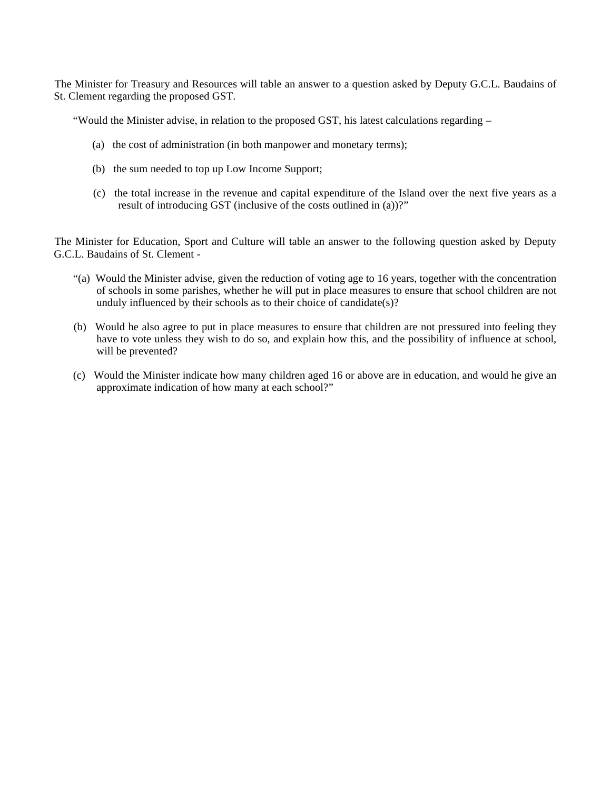The Minister for Treasury and Resources will table an answer to a question asked by Deputy G.C.L. Baudains of St. Clement regarding the proposed GST.

"Would the Minister advise, in relation to the proposed GST, his latest calculations regarding –

- (a) the cost of administration (in both manpower and monetary terms);
- (b) the sum needed to top up Low Income Support;
- (c) the total increase in the revenue and capital expenditure of the Island over the next five years as a result of introducing GST (inclusive of the costs outlined in (a))?"

The Minister for Education, Sport and Culture will table an answer to the following question asked by Deputy G.C.L. Baudains of St. Clement -

- "(a) Would the Minister advise, given the reduction of voting age to 16 years, together with the concentration of schools in some parishes, whether he will put in place measures to ensure that school children are not unduly influenced by their schools as to their choice of candidate(s)?
- (b) Would he also agree to put in place measures to ensure that children are not pressured into feeling they have to vote unless they wish to do so, and explain how this, and the possibility of influence at school, will be prevented?
- (c) Would the Minister indicate how many children aged 16 or above are in education, and would he give an approximate indication of how many at each school?"